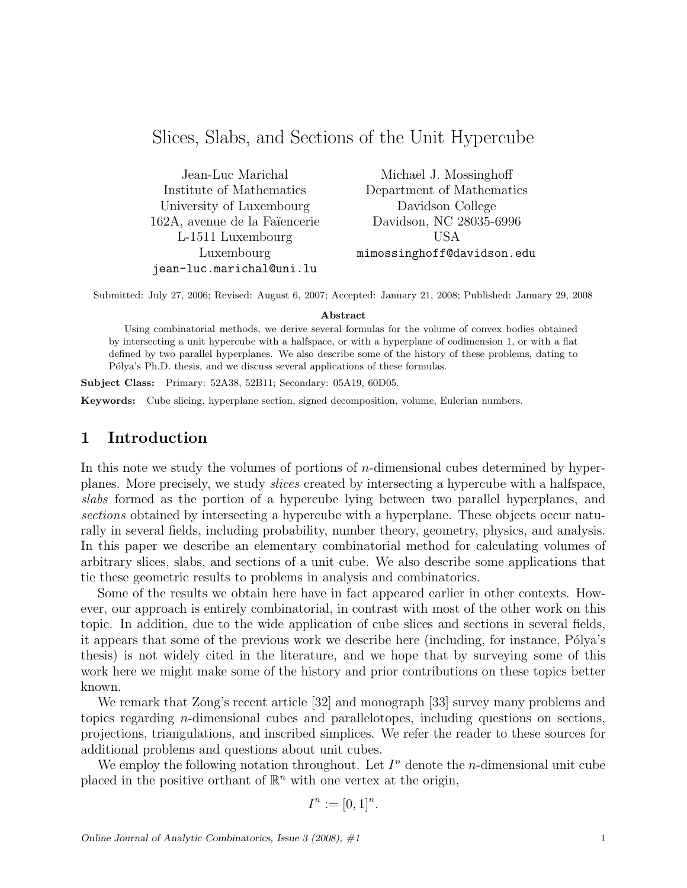# Slices, Slabs, and Sections of the Unit Hypercube

Jean-Luc Marichal Institute of Mathematics University of Luxembourg 162A, avenue de la Faïencerie L-1511 Luxembourg Luxembourg jean-luc.marichal@uni.lu

Michael J. Mossinghoff Department of Mathematics Davidson College Davidson, NC 28035-6996 USA mimossinghoff@davidson.edu

Submitted: July 27, 2006; Revised: August 6, 2007; Accepted: January 21, 2008; Published: January 29, 2008

#### Abstract

Using combinatorial methods, we derive several formulas for the volume of convex bodies obtained by intersecting a unit hypercube with a halfspace, or with a hyperplane of codimension 1, or with a flat defined by two parallel hyperplanes. We also describe some of the history of these problems, dating to P'olya's Ph.D. thesis, and we discuss several applications of these formulas.

Subject Class: Primary: 52A38, 52B11; Secondary: 05A19, 60D05.

Keywords: Cube slicing, hyperplane section, signed decomposition, volume, Eulerian numbers.

# 1 Introduction

In this note we study the volumes of portions of  $n$ -dimensional cubes determined by hyperplanes. More precisely, we study slices created by intersecting a hypercube with a halfspace, slabs formed as the portion of a hypercube lying between two parallel hyperplanes, and sections obtained by intersecting a hypercube with a hyperplane. These objects occur naturally in several fields, including probability, number theory, geometry, physics, and analysis. In this paper we describe an elementary combinatorial method for calculating volumes of arbitrary slices, slabs, and sections of a unit cube. We also describe some applications that tie these geometric results to problems in analysis and combinatorics.

Some of the results we obtain here have in fact appeared earlier in other contexts. However, our approach is entirely combinatorial, in contrast with most of the other work on this topic. In addition, due to the wide application of cube slices and sections in several fields, it appears that some of the previous work we describe here (including, for instance, Pólya's thesis) is not widely cited in the literature, and we hope that by surveying some of this work here we might make some of the history and prior contributions on these topics better known.

We remark that Zong's recent article [32] and monograph [33] survey many problems and topics regarding n-dimensional cubes and parallelotopes, including questions on sections, projections, triangulations, and inscribed simplices. We refer the reader to these sources for additional problems and questions about unit cubes.

We employ the following notation throughout. Let  $I<sup>n</sup>$  denote the *n*-dimensional unit cube placed in the positive orthant of  $\mathbb{R}^n$  with one vertex at the origin,

$$
I^n := [0,1]^n.
$$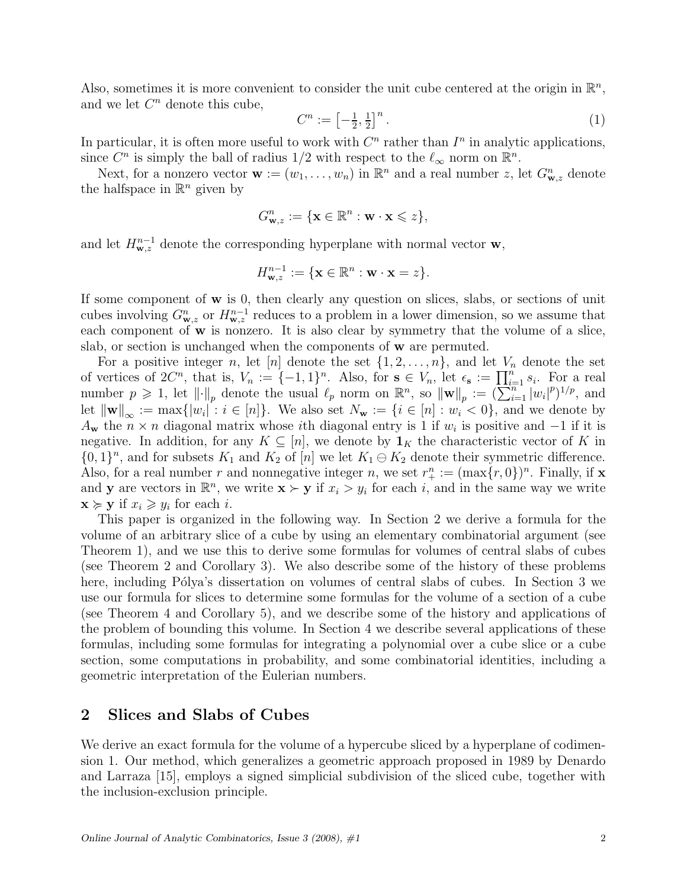Also, sometimes it is more convenient to consider the unit cube centered at the origin in  $\mathbb{R}^n$ , and we let  $C<sup>n</sup>$  denote this cube,

$$
C^n := \left[ -\frac{1}{2}, \frac{1}{2} \right]^n. \tag{1}
$$

In particular, it is often more useful to work with  $C<sup>n</sup>$  rather than  $I<sup>n</sup>$  in analytic applications, since  $C^n$  is simply the ball of radius 1/2 with respect to the  $\ell_{\infty}$  norm on  $\mathbb{R}^n$ .

Next, for a nonzero vector  $\mathbf{w} := (w_1, \ldots, w_n)$  in  $\mathbb{R}^n$  and a real number z, let  $G_{\mathbf{w},z}^n$  denote the halfspace in  $\mathbb{R}^n$  given by

$$
G_{\mathbf{w},z}^n := \{\mathbf{x} \in \mathbb{R}^n : \mathbf{w} \cdot \mathbf{x} \leqslant z\},\
$$

and let  $H_{\mathbf{w},z}^{n-1}$  denote the corresponding hyperplane with normal vector  $\mathbf{w},$ 

$$
H_{\mathbf{w},z}^{n-1} := \{\mathbf{x} \in \mathbb{R}^n : \mathbf{w} \cdot \mathbf{x} = z\}.
$$

If some component of w is 0, then clearly any question on slices, slabs, or sections of unit cubes involving  $G_{\mathbf{w},z}^n$  or  $H_{\mathbf{w},z}^{n-1}$  reduces to a problem in a lower dimension, so we assume that each component of **w** is nonzero. It is also clear by symmetry that the volume of a slice, slab, or section is unchanged when the components of w are permuted.

For a positive integer n, let [n] denote the set  $\{1, 2, \ldots, n\}$ , and let  $V_n$  denote the set of vertices of  $2C^n$ , that is,  $V_n := \{-1,1\}^n$ . Also, for  $s \in V_n$ , let  $\epsilon_s := \prod_{i=1}^n s_i$ . For a real number  $p \geq 1$ , let  $\left\| \cdot \right\|_p$  denote the usual  $\ell_p$  norm on  $\mathbb{R}^n$ , so  $\left\| \mathbf{w} \right\|_p := (\sum_{i=1}^{n} |w_i|^p)^{1/p}$ , and let  $\|\mathbf{w}\|_{\infty} := \max\{|w_i| : i \in [n]\}.$  We also set  $N_{\mathbf{w}} := \{i \in [n] : w_i < 0\}$ , and we denote by  $A_{\mathbf{w}}$  the  $n \times n$  diagonal matrix whose *i*th diagonal entry is 1 if  $w_i$  is positive and  $-1$  if it is negative. In addition, for any  $K \subseteq [n]$ , we denote by  $\mathbf{1}_K$  the characteristic vector of K in  $\{0,1\}^n$ , and for subsets  $K_1$  and  $K_2$  of  $[n]$  we let  $K_1 \ominus K_2$  denote their symmetric difference. Also, for a real number r and nonnegative integer n, we set  $r_{+}^{n} := (\max\{r, 0\})^{n}$ . Finally, if **x** and **y** are vectors in  $\mathbb{R}^n$ , we write  $\mathbf{x} \succ \mathbf{y}$  if  $x_i > y_i$  for each i, and in the same way we write  $\mathbf{x} \succcurlyeq \mathbf{y}$  if  $x_i \geqslant y_i$  for each *i*.

This paper is organized in the following way. In Section 2 we derive a formula for the volume of an arbitrary slice of a cube by using an elementary combinatorial argument (see Theorem 1), and we use this to derive some formulas for volumes of central slabs of cubes (see Theorem 2 and Corollary 3). We also describe some of the history of these problems here, including Pólya's dissertation on volumes of central slabs of cubes. In Section 3 we use our formula for slices to determine some formulas for the volume of a section of a cube (see Theorem 4 and Corollary 5), and we describe some of the history and applications of the problem of bounding this volume. In Section 4 we describe several applications of these formulas, including some formulas for integrating a polynomial over a cube slice or a cube section, some computations in probability, and some combinatorial identities, including a geometric interpretation of the Eulerian numbers.

### 2 Slices and Slabs of Cubes

We derive an exact formula for the volume of a hypercube sliced by a hyperplane of codimension 1. Our method, which generalizes a geometric approach proposed in 1989 by Denardo and Larraza [15], employs a signed simplicial subdivision of the sliced cube, together with the inclusion-exclusion principle.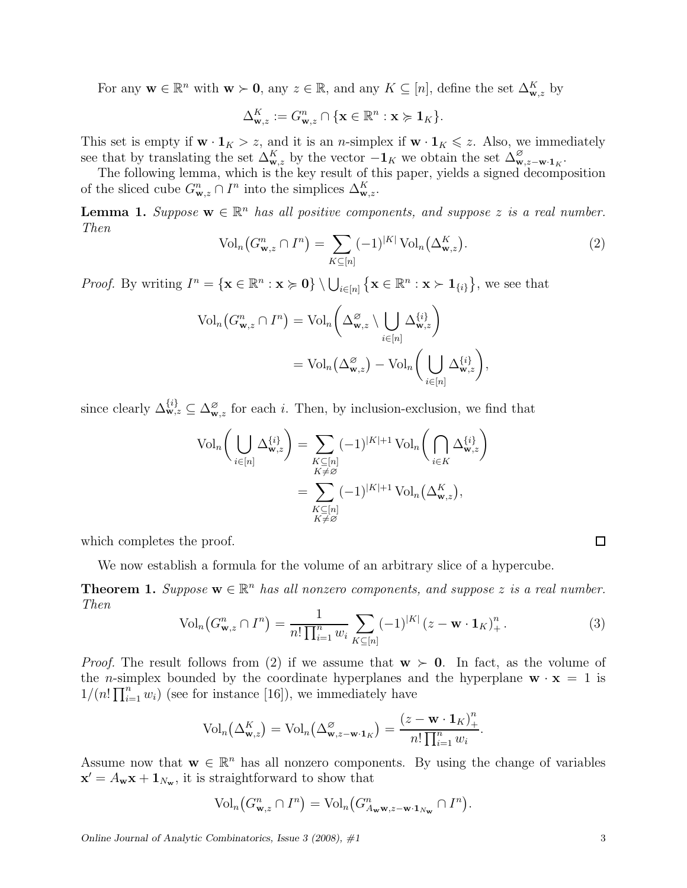For any  $\mathbf{w} \in \mathbb{R}^n$  with  $\mathbf{w} \succ \mathbf{0}$ , any  $z \in \mathbb{R}$ , and any  $K \subseteq [n]$ , define the set  $\Delta_{\mathbf{w},z}^K$  by

$$
\Delta_{\mathbf{w},z}^K:=G_{\mathbf{w},z}^n\cap\{\mathbf{x}\in\mathbb{R}^n:\mathbf{x}\succcurlyeq\mathbf{1}_K\}.
$$

This set is empty if  $\mathbf{w} \cdot \mathbf{1}_K > z$ , and it is an *n*-simplex if  $\mathbf{w} \cdot \mathbf{1}_K \leq z$ . Also, we immediately see that by translating the set  $\Delta_{\mathbf{w},z}^K$  by the vector  $-\mathbf{1}_K$  we obtain the set  $\Delta_{\mathbf{w},z-\mathbf{w}\cdot\mathbf{1}_K}^{\varnothing}$ .

The following lemma, which is the key result of this paper, yields a signed decomposition of the sliced cube  $G_{\mathbf{w},z}^n \cap I^n$  into the simplices  $\Delta_{\mathbf{w},z}^K$ .

**Lemma 1.** Suppose  $\mathbf{w} \in \mathbb{R}^n$  has all positive components, and suppose z is a real number. Then

$$
\text{Vol}_n\big(G^n_{\mathbf{w},z} \cap I^n\big) = \sum_{K \subseteq [n]} (-1)^{|K|} \text{Vol}_n\big(\Delta^K_{\mathbf{w},z}\big). \tag{2}
$$

*Proof.* By writing  $I^n = {\mathbf{x} \in \mathbb{R}^n : \mathbf{x} \succ 0} \setminus \bigcup_{i \in [n]} {\mathbf{x} \in \mathbb{R}^n : \mathbf{x} \succ 1_{\{i\}}},$  we see that

$$
\mathrm{Vol}_n\big(G^n_{\mathbf{w},z}\cap I^n\big)=\mathrm{Vol}_n\bigg(\Delta^\varnothing_{\mathbf{w},z}\setminus\bigcup_{i\in[n]}\Delta^{\{i\}}_{\mathbf{w},z}\bigg)
$$

$$
=\mathrm{Vol}_n\big(\Delta^\varnothing_{\mathbf{w},z}\big)-\mathrm{Vol}_n\bigg(\bigcup_{i\in[n]}\Delta^{\{i\}}_{\mathbf{w},z}\bigg),
$$

since clearly  $\Delta_{\mathbf{w},z}^{\{i\}} \subseteq \Delta_{\mathbf{w},z}^{\varnothing}$  for each *i*. Then, by inclusion-exclusion, we find that

$$
\operatorname{Vol}_n\bigg(\bigcup_{i\in[n]}\Delta_{\mathbf{w},z}^{\{i\}}\bigg) = \sum_{\substack{K\subseteq[n]\\K\neq\varnothing}} (-1)^{|K|+1} \operatorname{Vol}_n\bigg(\bigcap_{i\in K}\Delta_{\mathbf{w},z}^{\{i\}}\bigg)
$$

$$
= \sum_{\substack{K\subseteq[n]\\K\neq\varnothing}} (-1)^{|K|+1} \operatorname{Vol}_n(\Delta_{\mathbf{w},z}^K),
$$

which completes the proof.

We now establish a formula for the volume of an arbitrary slice of a hypercube.

**Theorem 1.** Suppose  $\mathbf{w} \in \mathbb{R}^n$  has all nonzero components, and suppose z is a real number. Then

$$
\text{Vol}_n\big(G^n_{\mathbf{w},z} \cap I^n\big) = \frac{1}{n! \prod_{i=1}^n w_i} \sum_{K \subseteq [n]} (-1)^{|K|} (z - \mathbf{w} \cdot \mathbf{1}_K)^n_+ . \tag{3}
$$

*Proof.* The result follows from (2) if we assume that  $w > 0$ . In fact, as the volume of the *n*-simplex bounded by the coordinate hyperplanes and the hyperplane  $\mathbf{w} \cdot \mathbf{x} = 1$  is  $1/(n! \prod_{i=1}^{n} w_i)$  (see for instance [16]), we immediately have

$$
\text{Vol}_n\left(\Delta_{\mathbf{w},z}^K\right) = \text{Vol}_n\left(\Delta_{\mathbf{w},z-\mathbf{w}\cdot\mathbf{1}_K}^{\varnothing}\right) = \frac{(z-\mathbf{w}\cdot\mathbf{1}_K)_+^n}{n!\prod_{i=1}^n w_i}.
$$

Assume now that  $\mathbf{w} \in \mathbb{R}^n$  has all nonzero components. By using the change of variables  $\mathbf{x}' = A_{\mathbf{w}} \mathbf{x} + \mathbf{1}_{N_{\mathbf{w}}}$ , it is straightforward to show that

$$
\text{Vol}_n\big(G^n_{\mathbf{w},z}\cap I^n\big)=\text{Vol}_n\big(G^n_{A_{\mathbf{w}}\mathbf{w},z-\mathbf{w}\cdot\mathbf{1}_{N_{\mathbf{w}}}}\cap I^n\big).
$$

Online Journal of Analytic Combinatorics, Issue  $3$  (2008),  $\#1$  3

 $\Box$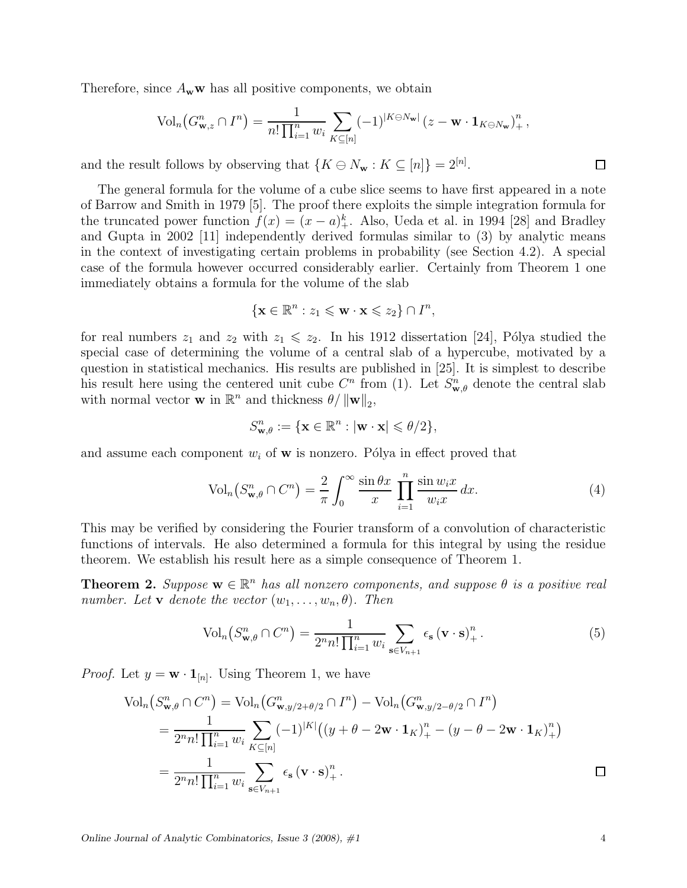Therefore, since  $A_w w$  has all positive components, we obtain

$$
\text{Vol}_n\big(G_{\mathbf{w},z}^n \cap I^n\big) = \frac{1}{n! \prod_{i=1}^n w_i} \sum_{K \subseteq [n]} (-1)^{|K \ominus N_{\mathbf{w}}|} \left(z - \mathbf{w} \cdot \mathbf{1}_{K \ominus N_{\mathbf{w}}}\right)_+^n,
$$

and the result follows by observing that  $\{K \ominus N_{\mathbf{w}} : K \subseteq [n]\} = 2^{[n]}$ .

The general formula for the volume of a cube slice seems to have first appeared in a note of Barrow and Smith in 1979 [5]. The proof there exploits the simple integration formula for the truncated power function  $f(x) = (x - a)^k_+$ . Also, Ueda et al. in 1994 [28] and Bradley and Gupta in 2002 [11] independently derived formulas similar to (3) by analytic means in the context of investigating certain problems in probability (see Section 4.2). A special case of the formula however occurred considerably earlier. Certainly from Theorem 1 one immediately obtains a formula for the volume of the slab

$$
\{\mathbf x\in\mathbb R^n:z_1\leqslant\mathbf w\cdot\mathbf x\leqslant z_2\}\cap I^n,
$$

for real numbers  $z_1$  and  $z_2$  with  $z_1 \leq z_2$ . In his 1912 dissertation [24], Pólya studied the special case of determining the volume of a central slab of a hypercube, motivated by a question in statistical mechanics. His results are published in [25]. It is simplest to describe his result here using the centered unit cube  $C<sup>n</sup>$  from (1). Let  $S_{\mathbf{w},\theta}$  denote the central slab with normal vector **w** in  $\mathbb{R}^n$  and thickness  $\theta / ||\mathbf{w}||_2$ ,

$$
S^n_{\mathbf{w},\theta} := \{\mathbf{x} \in \mathbb{R}^n : |\mathbf{w} \cdot \mathbf{x}| \leqslant \theta/2\},\
$$

and assume each component  $w_i$  of **w** is nonzero. Pólya in effect proved that

$$
\text{Vol}_n(S^n_{\mathbf{w},\theta} \cap C^n) = \frac{2}{\pi} \int_0^\infty \frac{\sin \theta x}{x} \prod_{i=1}^n \frac{\sin w_i x}{w_i x} dx. \tag{4}
$$

This may be verified by considering the Fourier transform of a convolution of characteristic functions of intervals. He also determined a formula for this integral by using the residue theorem. We establish his result here as a simple consequence of Theorem 1.

**Theorem 2.** Suppose  $\mathbf{w} \in \mathbb{R}^n$  has all nonzero components, and suppose  $\theta$  is a positive real number. Let **v** denote the vector  $(w_1, \ldots, w_n, \theta)$ . Then

$$
\text{Vol}_n\left(S_{\mathbf{w},\theta}^n \cap C^n\right) = \frac{1}{2^n n! \prod_{i=1}^n w_i} \sum_{\mathbf{s} \in V_{n+1}} \epsilon_{\mathbf{s}} \left(\mathbf{v} \cdot \mathbf{s}\right)_+^n. \tag{5}
$$

*Proof.* Let  $y = \mathbf{w} \cdot \mathbf{1}_{[n]}$ . Using Theorem 1, we have

$$
\text{Vol}_{n}(S_{\mathbf{w},\theta}^{n} \cap C^{n}) = \text{Vol}_{n}(G_{\mathbf{w},y/2+\theta/2}^{n} \cap I^{n}) - \text{Vol}_{n}(G_{\mathbf{w},y/2-\theta/2}^{n} \cap I^{n})
$$
\n
$$
= \frac{1}{2^{n}n! \prod_{i=1}^{n} w_{i}} \sum_{K \subseteq [n]} (-1)^{|K|} ((y + \theta - 2\mathbf{w} \cdot \mathbf{1}_{K})_{+}^{n} - (y - \theta - 2\mathbf{w} \cdot \mathbf{1}_{K})_{+}^{n})
$$
\n
$$
= \frac{1}{2^{n}n! \prod_{i=1}^{n} w_{i}} \sum_{\mathbf{s} \in V_{n+1}} \epsilon_{\mathbf{s}} (\mathbf{v} \cdot \mathbf{s})_{+}^{n}.
$$

 $\Box$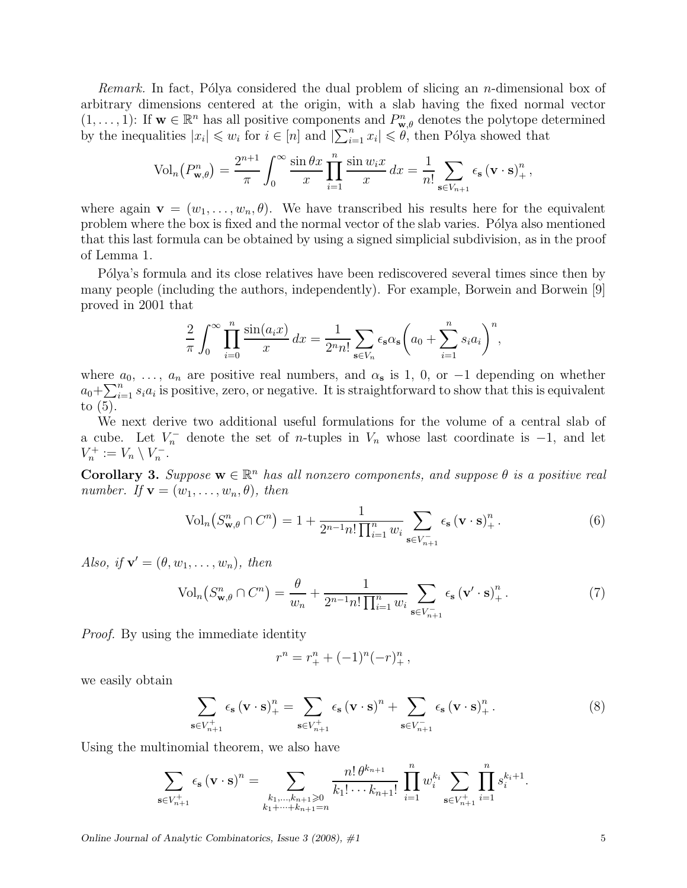*Remark.* In fact, Pólya considered the dual problem of slicing an *n*-dimensional box of arbitrary dimensions centered at the origin, with a slab having the fixed normal vector  $(1,\ldots,1)$ : If  $w \in \mathbb{R}^n$  has all positive components and  $P_{w,\theta}^n$  denotes the polytope determined by the inequalities  $|x_i| \leqslant w_i$  for  $i \in [n]$  and  $|\sum_{i=1}^n x_i| \leqslant \ddot{\theta}$ , then Pólya showed that

$$
\text{Vol}_n(P_{\mathbf{w},\theta}^n) = \frac{2^{n+1}}{\pi} \int_0^\infty \frac{\sin \theta x}{x} \prod_{i=1}^n \frac{\sin w_i x}{x} dx = \frac{1}{n!} \sum_{\mathbf{s} \in V_{n+1}} \epsilon_\mathbf{s} (\mathbf{v} \cdot \mathbf{s})_+^n,
$$

where again  $\mathbf{v} = (w_1, \ldots, w_n, \theta)$ . We have transcribed his results here for the equivalent problem where the box is fixed and the normal vector of the slab varies. Pólya also mentioned that this last formula can be obtained by using a signed simplicial subdivision, as in the proof of Lemma 1.

P'olya's formula and its close relatives have been rediscovered several times since then by many people (including the authors, independently). For example, Borwein and Borwein [9] proved in 2001 that

$$
\frac{2}{\pi} \int_0^\infty \prod_{i=0}^n \frac{\sin(a_i x)}{x} dx = \frac{1}{2^n n!} \sum_{\mathbf{s} \in V_n} \epsilon_{\mathbf{s}} \alpha_{\mathbf{s}} \left( a_0 + \sum_{i=1}^n s_i a_i \right)^n,
$$

where  $a_0, \ldots, a_n$  are positive real numbers, and  $\alpha_s$  is 1, 0, or  $-1$  depending on whether  $a_0 + \sum_{i=1}^n s_i a_i$  is positive, zero, or negative. It is straightforward to show that this is equivalent to  $(5)$ .

We next derive two additional useful formulations for the volume of a central slab of a cube. Let  $V_n^-$  denote the set of *n*-tuples in  $V_n$  whose last coordinate is  $-1$ , and let  $V_n^+ := V_n \setminus V_n^-.$ 

**Corollary 3.** Suppose  $\mathbf{w} \in \mathbb{R}^n$  has all nonzero components, and suppose  $\theta$  is a positive real number. If  $\mathbf{v} = (w_1, \ldots, w_n, \theta)$ , then

$$
\text{Vol}_n\big(S_{\mathbf{w},\theta}^n \cap C^n\big) = 1 + \frac{1}{2^{n-1}n! \prod_{i=1}^n w_i} \sum_{\mathbf{s} \in V_{n+1}^-} \epsilon_{\mathbf{s}} \left(\mathbf{v} \cdot \mathbf{s}\right)_+^n. \tag{6}
$$

Also, if  $\mathbf{v}' = (\theta, w_1, \dots, w_n)$ , then

$$
\text{Vol}_n\left(S_{\mathbf{w},\theta}^n \cap C^n\right) = \frac{\theta}{w_n} + \frac{1}{2^{n-1}n! \prod_{i=1}^n w_i} \sum_{\mathbf{s} \in V_{n+1}^-} \epsilon_\mathbf{s} \left(\mathbf{v}' \cdot \mathbf{s}\right)_+^n. \tag{7}
$$

Proof. By using the immediate identity

$$
r^{n} = r_{+}^{n} + (-1)^{n} (-r)_{+}^{n},
$$

we easily obtain

$$
\sum_{\mathbf{s}\in V_{n+1}^+} \epsilon_{\mathbf{s}} \left(\mathbf{v}\cdot\mathbf{s}\right)_+^n = \sum_{\mathbf{s}\in V_{n+1}^+} \epsilon_{\mathbf{s}} \left(\mathbf{v}\cdot\mathbf{s}\right)_+^n + \sum_{\mathbf{s}\in V_{n+1}^-} \epsilon_{\mathbf{s}} \left(\mathbf{v}\cdot\mathbf{s}\right)_+^n. \tag{8}
$$

Using the multinomial theorem, we also have

$$
\sum_{\mathbf{s}\in V_{n+1}^+}\epsilon_{\mathbf{s}}\left(\mathbf{v}\cdot\mathbf{s}\right)^n=\sum_{\substack{k_1,\dots,k_{n+1}\geqslant 0\\k_1+\dots+k_{n+1}=n}}\frac{n!\,\theta^{k_{n+1}}}{k_1!\cdots k_{n+1}!}\,\prod_{i=1}^nw_i^{k_i}\sum_{\mathbf{s}\in V_{n+1}^+}\prod_{i=1}^ns_i^{k_i+1}.
$$

Online Journal of Analytic Combinatorics, Issue  $3$  (2008),  $\#1$  5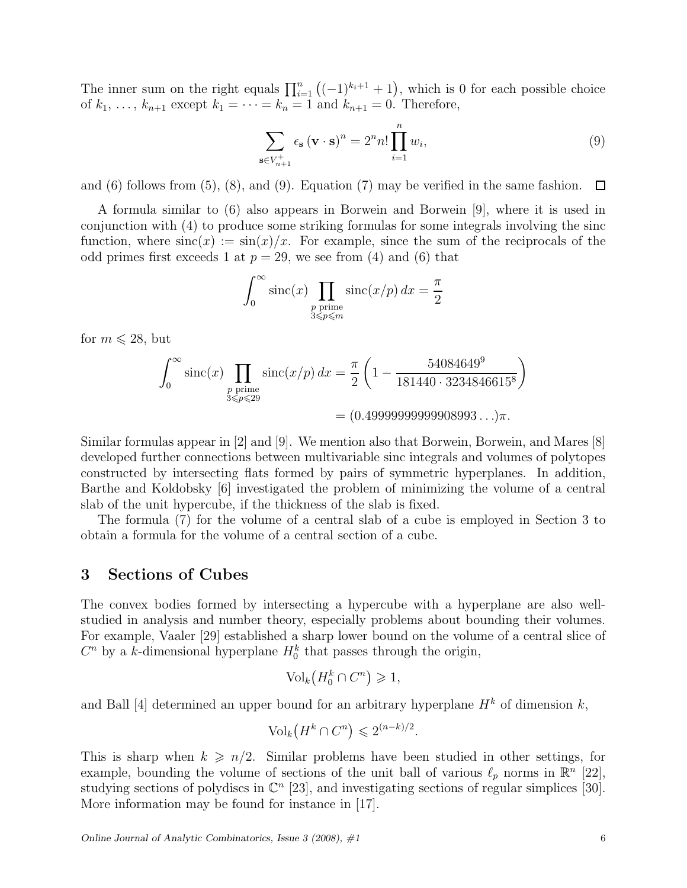The inner sum on the right equals  $\prod_{i=1}^{n} ((-1)^{k_i+1} + 1)$ , which is 0 for each possible choice of  $k_1, ..., k_{n+1}$  except  $k_1 = ... = k_n = 1$  and  $k_{n+1} = 0$ . Therefore,

$$
\sum_{\mathbf{s}\in V_{n+1}^+} \epsilon_{\mathbf{s}} \left(\mathbf{v}\cdot\mathbf{s}\right)^n = 2^n n! \prod_{i=1}^n w_i,
$$
\n(9)

and  $(6)$  follows from  $(5)$ ,  $(8)$ , and  $(9)$ . Equation  $(7)$  may be verified in the same fashion. 口

A formula similar to (6) also appears in Borwein and Borwein [9], where it is used in conjunction with (4) to produce some striking formulas for some integrals involving the sinc function, where  $\operatorname{sinc}(x) := \sin(x)/x$ . For example, since the sum of the reciprocals of the odd primes first exceeds 1 at  $p = 29$ , we see from (4) and (6) that

$$
\int_0^\infty \operatorname{sinc}(x) \prod_{\substack{p \text{ prime} \\ 3 \leq p \leq m}} \operatorname{sinc}(x/p) dx = \frac{\pi}{2}
$$

for  $m \leq 28$ , but

$$
\int_0^\infty \operatorname{sinc}(x) \prod_{\substack{p \text{ prime} \\ 3 \le p \le 29}} \operatorname{sinc}(x/p) dx = \frac{\pi}{2} \left( 1 - \frac{54084649^9}{181440 \cdot 3234846615^8} \right)
$$

$$
= (0.4999999999999893 \dots) \pi.
$$

Similar formulas appear in [2] and [9]. We mention also that Borwein, Borwein, and Mares [8] developed further connections between multivariable sinc integrals and volumes of polytopes constructed by intersecting flats formed by pairs of symmetric hyperplanes. In addition, Barthe and Koldobsky [6] investigated the problem of minimizing the volume of a central slab of the unit hypercube, if the thickness of the slab is fixed.

The formula (7) for the volume of a central slab of a cube is employed in Section 3 to obtain a formula for the volume of a central section of a cube.

# 3 Sections of Cubes

The convex bodies formed by intersecting a hypercube with a hyperplane are also wellstudied in analysis and number theory, especially problems about bounding their volumes. For example, Vaaler [29] established a sharp lower bound on the volume of a central slice of  $C<sup>n</sup>$  by a k-dimensional hyperplane  $H_0^k$  that passes through the origin,

$$
\text{Vol}_k(H_0^k \cap C^n) \geq 1,
$$

and Ball [4] determined an upper bound for an arbitrary hyperplane  $H^k$  of dimension k,

$$
\text{Vol}_k(H^k \cap C^n) \leq 2^{(n-k)/2}.
$$

This is sharp when  $k \geq n/2$ . Similar problems have been studied in other settings, for example, bounding the volume of sections of the unit ball of various  $\ell_p$  norms in  $\mathbb{R}^n$  [22], studying sections of polydiscs in  $\mathbb{C}^n$  [23], and investigating sections of regular simplices [30]. More information may be found for instance in [17].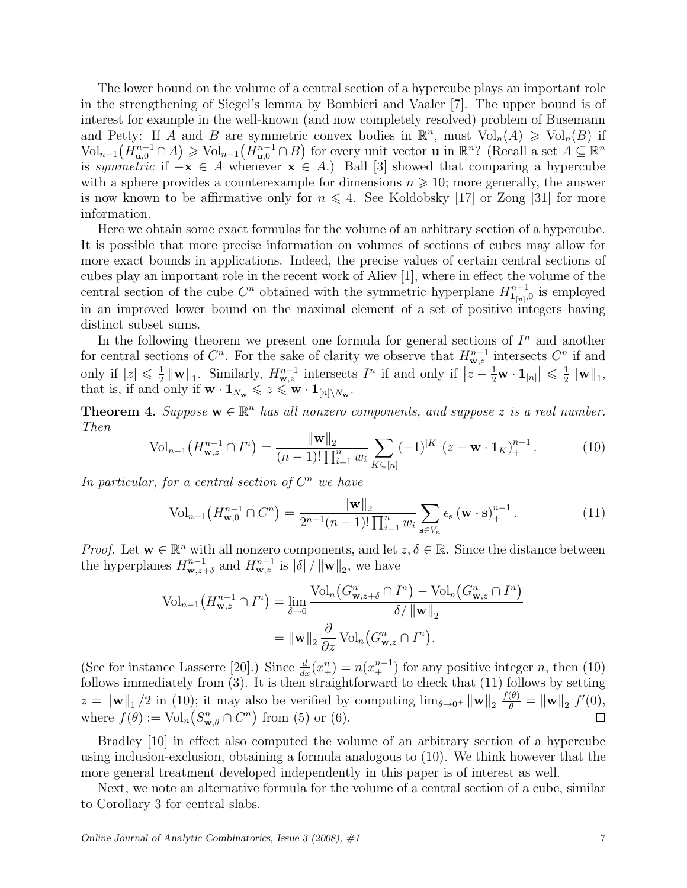The lower bound on the volume of a central section of a hypercube plays an important role in the strengthening of Siegel's lemma by Bombieri and Vaaler [7]. The upper bound is of interest for example in the well-known (and now completely resolved) problem of Busemann and Petty: If A and B are symmetric convex bodies in  $\mathbb{R}^n$ , must  $\text{Vol}_n(A) \geq \text{Vol}_n(B)$  if  $\text{Vol}_{n-1}(H_{\mathbf{u},0}^{n-1}\cap A)\geqslant \text{Vol}_{n-1}(H_{\mathbf{u},0}^{n-1}\cap B)$  for every unit vector **u** in  $\mathbb{R}^n$ ? (Recall a set  $A\subseteq\mathbb{R}^n$ is symmetric if  $-\mathbf{x} \in A$  whenever  $\mathbf{x} \in A$ .) Ball [3] showed that comparing a hypercube with a sphere provides a counterexample for dimensions  $n \geq 10$ ; more generally, the answer is now known to be affirmative only for  $n \leq 4$ . See Koldobsky [17] or Zong [31] for more information.

Here we obtain some exact formulas for the volume of an arbitrary section of a hypercube. It is possible that more precise information on volumes of sections of cubes may allow for more exact bounds in applications. Indeed, the precise values of certain central sections of cubes play an important role in the recent work of Aliev [1], where in effect the volume of the central section of the cube  $C<sup>n</sup>$  obtained with the symmetric hyperplane  $H_{1_{[n]},0}^{n-1}$  is employed in an improved lower bound on the maximal element of a set of positive integers having distinct subset sums.

In the following theorem we present one formula for general sections of  $I<sup>n</sup>$  and another for central sections of  $C^n$ . For the sake of clarity we observe that  $H^{n-1}_{\mathbf{w},z}$  intersects  $C^n$  if and only if  $|z| \leq \frac{1}{2}$  $\frac{1}{2} \|\mathbf{w}\|_1$ . Similarly,  $H^{n-1}_{\mathbf{w},z}$  intersects  $I^n$  if and only if  $|z-\frac{1}{2}\mathbf{w}\cdot \mathbf{1}_{[n]}| \leq \frac{1}{2}$  $\frac{1}{2}$   $\|\mathbf{w}\|_1$ , that is, if and only if  $\mathbf{w} \cdot \mathbf{1}_{N_{\mathbf{w}}} \leqslant z \leqslant \mathbf{w} \cdot \mathbf{1}_{[n] \setminus N_{\mathbf{w}}}$ .

**Theorem 4.** Suppose  $\mathbf{w} \in \mathbb{R}^n$  has all nonzero components, and suppose z is a real number. Then

$$
\text{Vol}_{n-1}\left(H^{n-1}_{\mathbf{w},z} \cap I^n\right) = \frac{\|\mathbf{w}\|_2}{(n-1)! \prod_{i=1}^n w_i} \sum_{K \subseteq [n]} (-1)^{|K|} (z - \mathbf{w} \cdot \mathbf{1}_K)_{+}^{n-1}.
$$
 (10)

In particular, for a central section of  $C<sup>n</sup>$  we have

$$
\text{Vol}_{n-1}\left(H_{\mathbf{w},0}^{n-1} \cap C^{n}\right) = \frac{\|\mathbf{w}\|_{2}}{2^{n-1}(n-1)!\prod_{i=1}^{n}w_{i}} \sum_{\mathbf{s}\in V_{n}} \epsilon_{\mathbf{s}}\left(\mathbf{w}\cdot\mathbf{s}\right)_{+}^{n-1}.\tag{11}
$$

*Proof.* Let  $w \in \mathbb{R}^n$  with all nonzero components, and let  $z, \delta \in \mathbb{R}$ . Since the distance between the hyperplanes  $H^{n-1}_{\mathbf{w},z+\delta}$  and  $H^{n-1}_{\mathbf{w},z}$  is  $|\delta| / ||\mathbf{w}||_2$ , we have

$$
\mathrm{Vol}_{n-1}\left(H^{n-1}_{\mathbf{w},z}\cap I^n\right) = \lim_{\delta \to 0} \frac{\mathrm{Vol}_n\left(G^n_{\mathbf{w},z+\delta}\cap I^n\right) - \mathrm{Vol}_n\left(G^n_{\mathbf{w},z}\cap I^n\right)}{\delta/\left\|\mathbf{w}\right\|_2}
$$

$$
= \|\mathbf{w}\|_2 \frac{\partial}{\partial z} \mathrm{Vol}_n\left(G^n_{\mathbf{w},z}\cap I^n\right).
$$

(See for instance Lasserre [20].) Since  $\frac{d}{dx}(x_+^n) = n(x_+^{n-1})$  for any positive integer n, then (10) follows immediately from (3). It is then straightforward to check that (11) follows by setting  $z = ||\mathbf{w}||_1/2$  in (10); it may also be verified by computing  $\lim_{\theta \to 0^+} ||\mathbf{w}||_2 \frac{f(\theta)}{\theta} = ||\mathbf{w}||_2 f'(0)$ , where  $f(\theta) := \text{Vol}_n(S^n_{\mathbf{w},\theta} \cap C^n)$  from (5) or (6).  $\Box$ 

Bradley [10] in effect also computed the volume of an arbitrary section of a hypercube using inclusion-exclusion, obtaining a formula analogous to (10). We think however that the more general treatment developed independently in this paper is of interest as well.

Next, we note an alternative formula for the volume of a central section of a cube, similar to Corollary 3 for central slabs.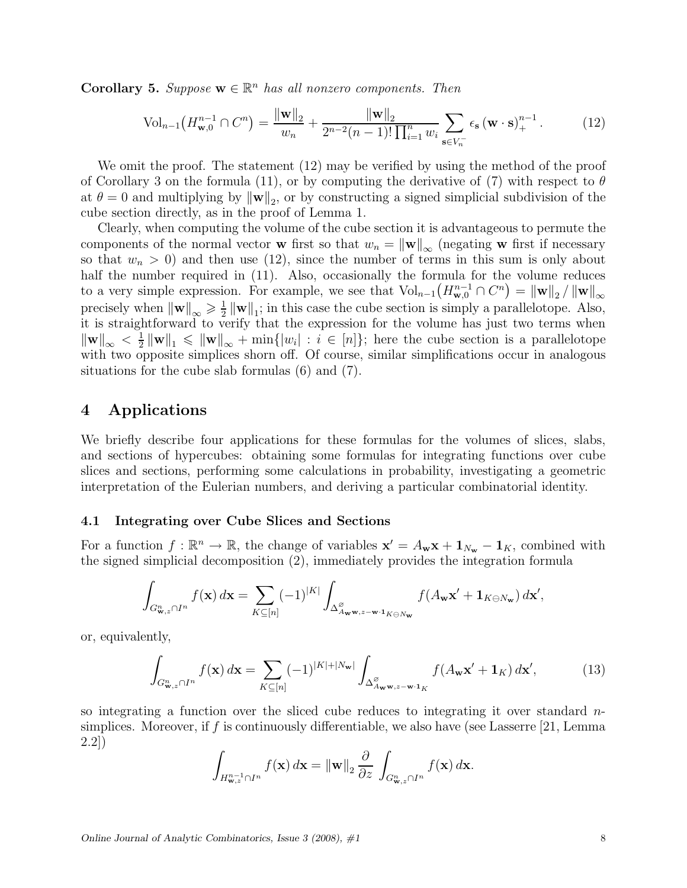**Corollary 5.** Suppose  $\mathbf{w} \in \mathbb{R}^n$  has all nonzero components. Then

$$
\text{Vol}_{n-1}\left(H_{\mathbf{w},0}^{n-1} \cap C^{n}\right) = \frac{\|\mathbf{w}\|_{2}}{w_{n}} + \frac{\|\mathbf{w}\|_{2}}{2^{n-2}(n-1)!\prod_{i=1}^{n}w_{i}} \sum_{\mathbf{s}\in V_{n}^{-}} \epsilon_{\mathbf{s}}\left(\mathbf{w}\cdot\mathbf{s}\right)_{+}^{n-1}.\tag{12}
$$

We omit the proof. The statement (12) may be verified by using the method of the proof of Corollary 3 on the formula (11), or by computing the derivative of (7) with respect to  $\theta$ at  $\theta = 0$  and multiplying by  $\|\mathbf{w}\|_2$ , or by constructing a signed simplicial subdivision of the cube section directly, as in the proof of Lemma 1.

Clearly, when computing the volume of the cube section it is advantageous to permute the components of the normal vector w first so that  $w_n = ||w||_{\infty}$  (negating w first if necessary so that  $w_n > 0$ ) and then use (12), since the number of terms in this sum is only about half the number required in  $(11)$ . Also, occasionally the formula for the volume reduces to a very simple expression. For example, we see that  $\text{Vol}_{n-1}(H^{n-1}_{\mathbf{w},0} \cap C^n) = ||\mathbf{w}||_2 / ||\mathbf{w}||_{\infty}$ precisely when  $\|\mathbf{w}\|_{\infty} \geqslant \frac{1}{2}$  $\frac{1}{2} \|\mathbf{w}\|_1$ ; in this case the cube section is simply a parallelotope. Also, it is straightforward to verify that the expression for the volume has just two terms when  $\|\mathbf{w}\|_\infty < \frac{1}{2}$  $\frac{1}{2} \|\mathbf{w}\|_{1} \leqslant \|\mathbf{w}\|_{\infty} + \min\{|w_{i}| : i \in [n]\};$  here the cube section is a parallelotope with two opposite simplices shorn off. Of course, similar simplifications occur in analogous situations for the cube slab formulas (6) and (7).

# 4 Applications

We briefly describe four applications for these formulas for the volumes of slices, slabs, and sections of hypercubes: obtaining some formulas for integrating functions over cube slices and sections, performing some calculations in probability, investigating a geometric interpretation of the Eulerian numbers, and deriving a particular combinatorial identity.

#### 4.1 Integrating over Cube Slices and Sections

For a function  $f : \mathbb{R}^n \to \mathbb{R}$ , the change of variables  $\mathbf{x}' = A_{\mathbf{w}} \mathbf{x} + \mathbf{1}_{N_{\mathbf{w}}} - \mathbf{1}_K$ , combined with the signed simplicial decomposition (2), immediately provides the integration formula

$$
\int_{G^n_{\mathbf{w},z} \cap I^n} f(\mathbf{x}) d\mathbf{x} = \sum_{K \subseteq [n]} (-1)^{|K|} \int_{\Delta^{\varnothing}_{A_{\mathbf{w}} \mathbf{w},z-\mathbf{w} \cdot \mathbf{1}_{K \ominus N_{\mathbf{w}}}} f(A_{\mathbf{w}} \mathbf{x}' + \mathbf{1}_{K \ominus N_{\mathbf{w}}}) d\mathbf{x}',
$$

or, equivalently,

$$
\int_{G^n_{\mathbf{w},z} \cap I^n} f(\mathbf{x}) d\mathbf{x} = \sum_{K \subseteq [n]} (-1)^{|K|+|N_{\mathbf{w}}|} \int_{\Delta^{\varnothing}_{A_{\mathbf{w}} \mathbf{w},z-\mathbf{w} \cdot 1_K}} f(A_{\mathbf{w}} \mathbf{x}' + \mathbf{1}_K) d\mathbf{x}',\tag{13}
$$

so integrating a function over the sliced cube reduces to integrating it over standard  $n$ simplices. Moreover, if f is continuously differentiable, we also have (see Lasserre  $[21, \text{Lemma}]$ 2.2])

$$
\int_{H^{n-1}_{\mathbf{w},z}\cap I^n} f(\mathbf{x})\,d\mathbf{x} = \|\mathbf{w}\|_2 \frac{\partial}{\partial z} \int_{G^n_{\mathbf{w},z}\cap I^n} f(\mathbf{x})\,d\mathbf{x}.
$$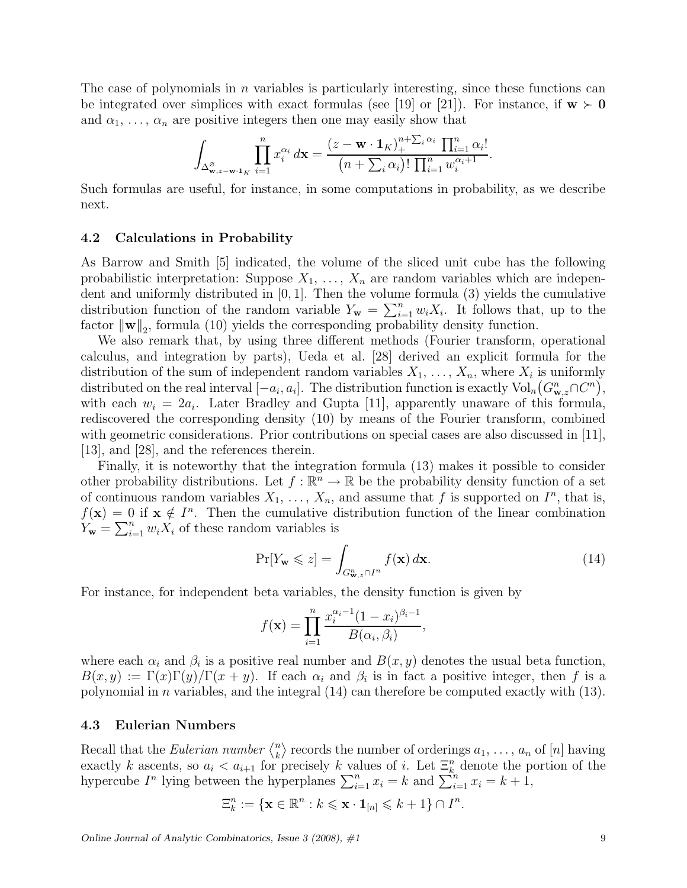The case of polynomials in n variables is particularly interesting, since these functions can be integrated over simplices with exact formulas (see [19] or [21]). For instance, if  $w > 0$ and  $\alpha_1, \ldots, \alpha_n$  are positive integers then one may easily show that

$$
\int_{\Delta_{\mathbf{w},z-\mathbf{w}}^{\varnothing}\cdot\mathbf{1}_K} \prod_{i=1}^n x_i^{\alpha_i} d\mathbf{x} = \frac{(z-\mathbf{w}\cdot\mathbf{1}_K)_{+}^{n+\sum_i \alpha_i} \prod_{i=1}^n \alpha_i!}{(n+\sum_i \alpha_i)! \prod_{i=1}^n w_i^{\alpha_i+1}}.
$$

Such formulas are useful, for instance, in some computations in probability, as we describe next.

#### 4.2 Calculations in Probability

As Barrow and Smith [5] indicated, the volume of the sliced unit cube has the following probabilistic interpretation: Suppose  $X_1, \ldots, X_n$  are random variables which are independent and uniformly distributed in [0, 1]. Then the volume formula (3) yields the cumulative distribution function of the random variable  $Y_{\mathbf{w}} = \sum_{i=1}^{n} w_i X_i$ . It follows that, up to the factor  $\|\mathbf{w}\|_2$ , formula (10) yields the corresponding probability density function.

We also remark that, by using three different methods (Fourier transform, operational calculus, and integration by parts), Ueda et al. [28] derived an explicit formula for the distribution of the sum of independent random variables  $X_1, \ldots, X_n$ , where  $X_i$  is uniformly distributed on the real interval  $[-a_i, a_i]$ . The distribution function is exactly  $\text{Vol}_n(G_{\mathbf{w},z}^n \cap C^n)$ , with each  $w_i = 2a_i$ . Later Bradley and Gupta [11], apparently unaware of this formula, rediscovered the corresponding density (10) by means of the Fourier transform, combined with geometric considerations. Prior contributions on special cases are also discussed in [11], [13], and [28], and the references therein.

Finally, it is noteworthy that the integration formula (13) makes it possible to consider other probability distributions. Let  $f : \mathbb{R}^n \to \mathbb{R}$  be the probability density function of a set of continuous random variables  $X_1, \ldots, X_n$ , and assume that f is supported on  $I^n$ , that is,  $f(\mathbf{x}) = 0$  if  $\mathbf{x} \notin I^n$ . Then the cumulative distribution function of the linear combination  $Y_{\mathbf{w}} = \sum_{i=1}^{n} w_i X_i$  of these random variables is

$$
\Pr[Y_{\mathbf{w}} \leqslant z] = \int_{G^n_{\mathbf{w},z} \cap I^n} f(\mathbf{x}) \, d\mathbf{x}.\tag{14}
$$

,

For instance, for independent beta variables, the density function is given by

$$
f(\mathbf{x}) = \prod_{i=1}^{n} \frac{x_i^{\alpha_i - 1} (1 - x_i)^{\beta_i - 1}}{B(\alpha_i, \beta_i)}
$$

where each  $\alpha_i$  and  $\beta_i$  is a positive real number and  $B(x, y)$  denotes the usual beta function,  $B(x, y) := \Gamma(x)\Gamma(y)/\Gamma(x + y)$ . If each  $\alpha_i$  and  $\beta_i$  is in fact a positive integer, then f is a polynomial in n variables, and the integral  $(14)$  can therefore be computed exactly with  $(13)$ .

### 4.3 Eulerian Numbers

Recall that the *Eulerian number*  $\binom{n}{k}$  $\binom{n}{k}$  records the number of orderings  $a_1, \ldots, a_n$  of  $[n]$  having exactly k ascents, so  $a_i < a_{i+1}$  for precisely k values of i. Let  $\Xi_k^n$  denote the portion of the hypercube  $I^n$  lying between the hyperplanes  $\sum_{i=1}^n x_i = k$  and  $\sum_{i=1}^n x_i = k + 1$ ,

$$
\Xi^n_k:=\{\mathbf{x}\in\mathbb{R}^n:k\leqslant \mathbf{x}\cdot\mathbf{1}_{[n]}\leqslant k+1\}\cap I^n.
$$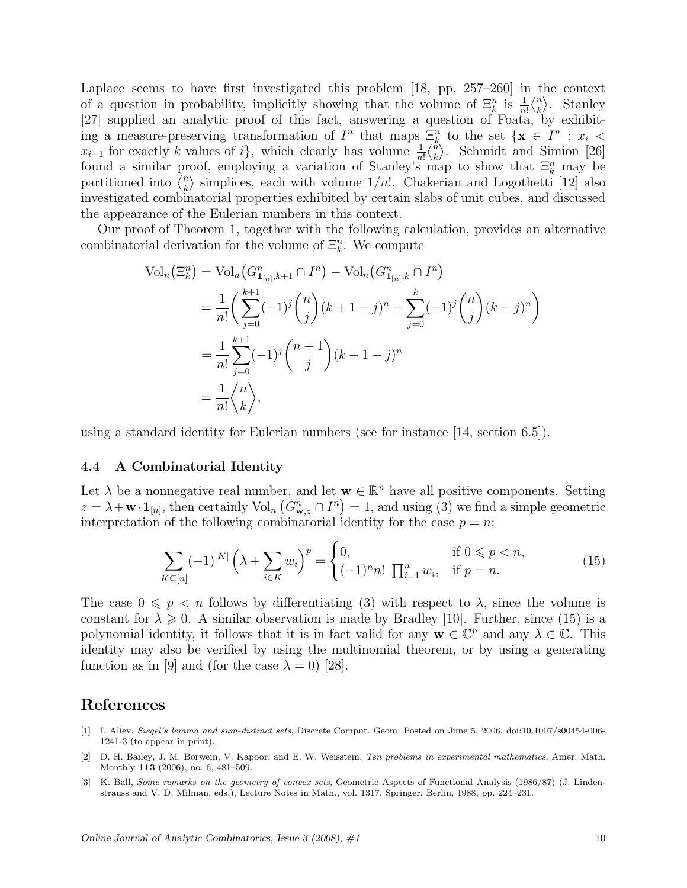Laplace seems to have first investigated this problem [18, pp. 257–260] in the context of a question in probability, implicitly showing that the volume of  $\Xi_k^n$  is  $\frac{1}{n!} \langle_k^n \rangle$  $\binom{n}{k}$ . Stanley [27] supplied an analytic proof of this fact, answering a question of Foata, by exhibiting a measure-preserving transformation of  $I^n$  that maps  $\Xi_k^n$  to the set  $\{x \in I^n : x_i \leq$  $x_{i+1}$  for exactly k values of i, which clearly has volume  $\frac{1}{n!} \binom{n}{k}$  $\binom{n}{k}$ . Schmidt and Simion [26] found a similar proof, employing a variation of Stanley's map to show that  $\Xi_k^n$  may be partitioned into  $\overline{\binom{n}{k}}$  $\binom{n}{k}$  simplices, each with volume  $1/n!$ . Chakerian and Logothetti [12] also investigated combinatorial properties exhibited by certain slabs of unit cubes, and discussed the appearance of the Eulerian numbers in this context.

Our proof of Theorem 1, together with the following calculation, provides an alternative combinatorial derivation for the volume of  $\Xi_k^n$ . We compute

$$
\text{Vol}_n(\Xi_k^n) = \text{Vol}_n(G_{\mathbf{1}_{[n]},k+1}^n \cap I^n) - \text{Vol}_n(G_{\mathbf{1}_{[n]},k}^n \cap I^n)
$$
\n
$$
= \frac{1}{n!} \left( \sum_{j=0}^{k+1} (-1)^j \binom{n}{j} (k+1-j)^n - \sum_{j=0}^k (-1)^j \binom{n}{j} (k-j)^n \right)
$$
\n
$$
= \frac{1}{n!} \sum_{j=0}^{k+1} (-1)^j \binom{n+1}{j} (k+1-j)^n
$$
\n
$$
= \frac{1}{n!} \binom{n}{k},
$$

using a standard identity for Eulerian numbers (see for instance [14, section 6.5]).

#### 4.4 A Combinatorial Identity

Let  $\lambda$  be a nonnegative real number, and let  $\mathbf{w} \in \mathbb{R}^n$  have all positive components. Setting  $z = \lambda + \mathbf{w} \cdot \mathbf{1}_{[n]},$  then certainly  $\text{Vol}_n(G_{\mathbf{w},z}^n \cap I^n) = 1$ , and using (3) we find a simple geometric interpretation of the following combinatorial identity for the case  $p = n$ :

$$
\sum_{K \subseteq [n]} (-1)^{|K|} \left(\lambda + \sum_{i \in K} w_i\right)^p = \begin{cases} 0, & \text{if } 0 \leq p < n, \\ (-1)^n n! \prod_{i=1}^n w_i, & \text{if } p = n. \end{cases} \tag{15}
$$

The case  $0 \leq p \leq n$  follows by differentiating (3) with respect to  $\lambda$ , since the volume is constant for  $\lambda \geq 0$ . A similar observation is made by Bradley [10]. Further, since (15) is a polynomial identity, it follows that it is in fact valid for any  $\mathbf{w} \in \mathbb{C}^n$  and any  $\lambda \in \mathbb{C}$ . This identity may also be verified by using the multinomial theorem, or by using a generating function as in [9] and (for the case  $\lambda = 0$ ) [28].

### References

- [1] I. Aliev, Siegel's lemma and sum-distinct sets, Discrete Comput. Geom. Posted on June 5, 2006, doi:10.1007/s00454-006- 1241-3 (to appear in print).
- [2] D. H. Bailey, J. M. Borwein, V. Kapoor, and E. W. Weisstein, Ten problems in experimental mathematics, Amer. Math. Monthly 113 (2006), no. 6, 481–509.
- [3] K. Ball, Some remarks on the geometry of convex sets, Geometric Aspects of Functional Analysis (1986/87) (J. Lindenstrauss and V. D. Milman, eds.), Lecture Notes in Math., vol. 1317, Springer, Berlin, 1988, pp. 224–231.